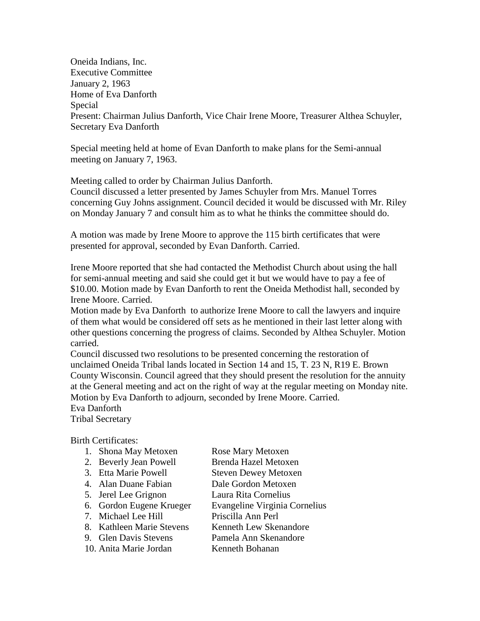Oneida Indians, Inc. Executive Committee January 2, 1963 Home of Eva Danforth Special Present: Chairman Julius Danforth, Vice Chair Irene Moore, Treasurer Althea Schuyler, Secretary Eva Danforth

Special meeting held at home of Evan Danforth to make plans for the Semi-annual meeting on January 7, 1963.

Meeting called to order by Chairman Julius Danforth.

Council discussed a letter presented by James Schuyler from Mrs. Manuel Torres concerning Guy Johns assignment. Council decided it would be discussed with Mr. Riley on Monday January 7 and consult him as to what he thinks the committee should do.

A motion was made by Irene Moore to approve the 115 birth certificates that were presented for approval, seconded by Evan Danforth. Carried.

Irene Moore reported that she had contacted the Methodist Church about using the hall for semi-annual meeting and said she could get it but we would have to pay a fee of \$10.00. Motion made by Evan Danforth to rent the Oneida Methodist hall, seconded by Irene Moore. Carried.

Motion made by Eva Danforth to authorize Irene Moore to call the lawyers and inquire of them what would be considered off sets as he mentioned in their last letter along with other questions concerning the progress of claims. Seconded by Althea Schuyler. Motion carried.

Council discussed two resolutions to be presented concerning the restoration of unclaimed Oneida Tribal lands located in Section 14 and 15, T. 23 N, R19 E. Brown County Wisconsin. Council agreed that they should present the resolution for the annuity at the General meeting and act on the right of way at the regular meeting on Monday nite. Motion by Eva Danforth to adjourn, seconded by Irene Moore. Carried.

Eva Danforth

Tribal Secretary

Birth Certificates:

|  | 1. Shona May Metoxen | Rose Mary Metoxen |
|--|----------------------|-------------------|
|  |                      |                   |

- 2. Beverly Jean Powell Brenda Hazel Metoxen
- 3. Etta Marie Powell Steven Dewey Metoxen
- 4. Alan Duane Fabian Dale Gordon Metoxen
- 5. Jerel Lee Grignon Laura Rita Cornelius
- 6. Gordon Eugene Krueger Evangeline Virginia Cornelius
- 7. Michael Lee Hill Priscilla Ann Perl
- 8. Kathleen Marie Stevens Kenneth Lew Skenandore
	-
- 10. Anita Marie Jordan Kenneth Bohanan
- 9. Glen Davis Stevens Pamela Ann Skenandore
	-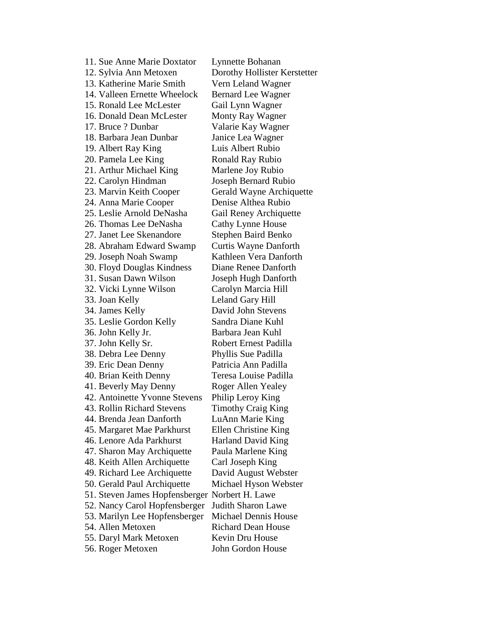11. Sue Anne Marie Doxtator Lynnette Bohanan 12. Sylvia Ann Metoxen Dorothy Hollister Kerstetter 13. Katherine Marie Smith Vern Leland Wagner 14. Valleen Ernette Wheelock Bernard Lee Wagner 15. Ronald Lee McLester Gail Lynn Wagner 16. Donald Dean McLester Monty Ray Wagner 17. Bruce ? Dunbar Valarie Kay Wagner 18. Barbara Jean Dunbar Janice Lea Wagner 19. Albert Ray King Luis Albert Rubio 20. Pamela Lee King Ronald Ray Rubio 21. Arthur Michael King Marlene Joy Rubio 22. Carolyn Hindman Joseph Bernard Rubio 23. Marvin Keith Cooper Gerald Wayne Archiquette 24. Anna Marie Cooper Denise Althea Rubio 25. Leslie Arnold DeNasha Gail Reney Archiquette 26. Thomas Lee DeNasha Cathy Lynne House 27. Janet Lee Skenandore Stephen Baird Benko 28. Abraham Edward Swamp Curtis Wayne Danforth 29. Joseph Noah Swamp Kathleen Vera Danforth 30. Floyd Douglas Kindness Diane Renee Danforth 31. Susan Dawn Wilson Joseph Hugh Danforth 32. Vicki Lynne Wilson Carolyn Marcia Hill 33. Joan Kelly Leland Gary Hill 34. James Kelly David John Stevens 35. Leslie Gordon Kelly Sandra Diane Kuhl 36. John Kelly Jr. Barbara Jean Kuhl 37. John Kelly Sr. Robert Ernest Padilla 38. Debra Lee Denny Phyllis Sue Padilla 39. Eric Dean Denny Patricia Ann Padilla 40. Brian Keith Denny Teresa Louise Padilla 41. Beverly May Denny Roger Allen Yealey 42. Antoinette Yvonne Stevens Philip Leroy King 43. Rollin Richard Stevens Timothy Craig King 44. Brenda Jean Danforth LuAnn Marie King 45. Margaret Mae Parkhurst Ellen Christine King 46. Lenore Ada Parkhurst Harland David King 47. Sharon May Archiquette Paula Marlene King 48. Keith Allen Archiquette Carl Joseph King 49. Richard Lee Archiquette David August Webster 50. Gerald Paul Archiquette Michael Hyson Webster 51. Steven James Hopfensberger Norbert H. Lawe 52. Nancy Carol Hopfensberger Judith Sharon Lawe 53. Marilyn Lee Hopfensberger Michael Dennis House 54. Allen Metoxen Richard Dean House 55. Daryl Mark Metoxen Kevin Dru House 56. Roger Metoxen John Gordon House